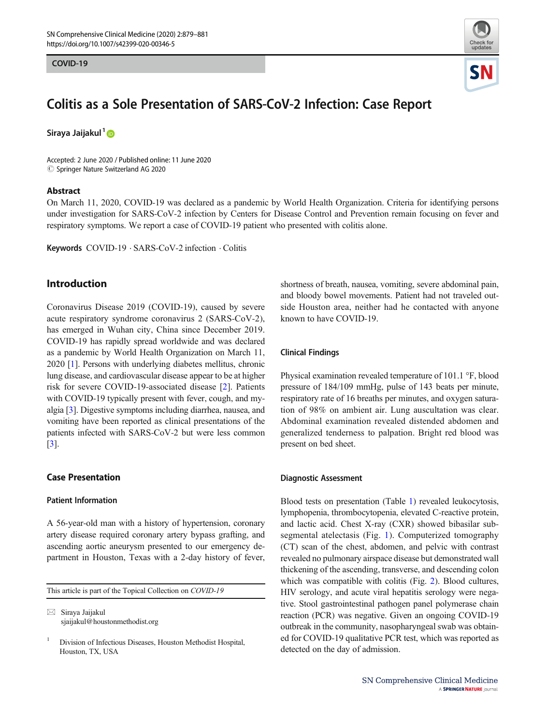#### COVID-19



# Colitis as a Sole Presentation of SARS-CoV-2 Infection: Case Report

Siraya Jaijakul<sup>1</sup>D

Accepted: 2 June 2020 / Published online: 11 June 2020  $\circled{c}$  Springer Nature Switzerland AG 2020

## Abstract

On March 11, 2020, COVID-19 was declared as a pandemic by World Health Organization. Criteria for identifying persons under investigation for SARS-CoV-2 infection by Centers for Disease Control and Prevention remain focusing on fever and respiratory symptoms. We report a case of COVID-19 patient who presented with colitis alone.

Keywords COVID-19 . SARS-CoV-2 infection . Colitis

# Introduction

Coronavirus Disease 2019 (COVID-19), caused by severe acute respiratory syndrome coronavirus 2 (SARS-CoV-2), has emerged in Wuhan city, China since December 2019. COVID-19 has rapidly spread worldwide and was declared as a pandemic by World Health Organization on March 11, 2020 [[1\]](#page-2-0). Persons with underlying diabetes mellitus, chronic lung disease, and cardiovascular disease appear to be at higher risk for severe COVID-19-associated disease [\[2](#page-2-0)]. Patients with COVID-19 typically present with fever, cough, and myalgia [\[3\]](#page-2-0). Digestive symptoms including diarrhea, nausea, and vomiting have been reported as clinical presentations of the patients infected with SARS-CoV-2 but were less common [\[3](#page-2-0)].

## Case Presentation

## Patient Information

A 56-year-old man with a history of hypertension, coronary artery disease required coronary artery bypass grafting, and ascending aortic aneurysm presented to our emergency department in Houston, Texas with a 2-day history of fever,

This article is part of the Topical Collection on COVID-19

 $\boxtimes$  Siraya Jaijakul [sjaijakul@houstonmethodist.org](mailto:sjaijakul@houstonmethodist.org) shortness of breath, nausea, vomiting, severe abdominal pain, and bloody bowel movements. Patient had not traveled outside Houston area, neither had he contacted with anyone known to have COVID-19.

## Clinical Findings

Physical examination revealed temperature of 101.1 °F, blood pressure of 184/109 mmHg, pulse of 143 beats per minute, respiratory rate of 16 breaths per minutes, and oxygen saturation of 98% on ambient air. Lung auscultation was clear. Abdominal examination revealed distended abdomen and generalized tenderness to palpation. Bright red blood was present on bed sheet.

#### Diagnostic Assessment

Blood tests on presentation (Table [1\)](#page-1-0) revealed leukocytosis, lymphopenia, thrombocytopenia, elevated C-reactive protein, and lactic acid. Chest X-ray (CXR) showed bibasilar subsegmental atelectasis (Fig. [1\)](#page-1-0). Computerized tomography (CT) scan of the chest, abdomen, and pelvic with contrast revealed no pulmonary airspace disease but demonstrated wall thickening of the ascending, transverse, and descending colon which was compatible with colitis (Fig. [2](#page-1-0)). Blood cultures, HIV serology, and acute viral hepatitis serology were negative. Stool gastrointestinal pathogen panel polymerase chain reaction (PCR) was negative. Given an ongoing COVID-19 outbreak in the community, nasopharyngeal swab was obtained for COVID-19 qualitative PCR test, which was reported as detected on the day of admission.

<sup>&</sup>lt;sup>1</sup> Division of Infectious Diseases, Houston Methodist Hospital, Houston, TX, USA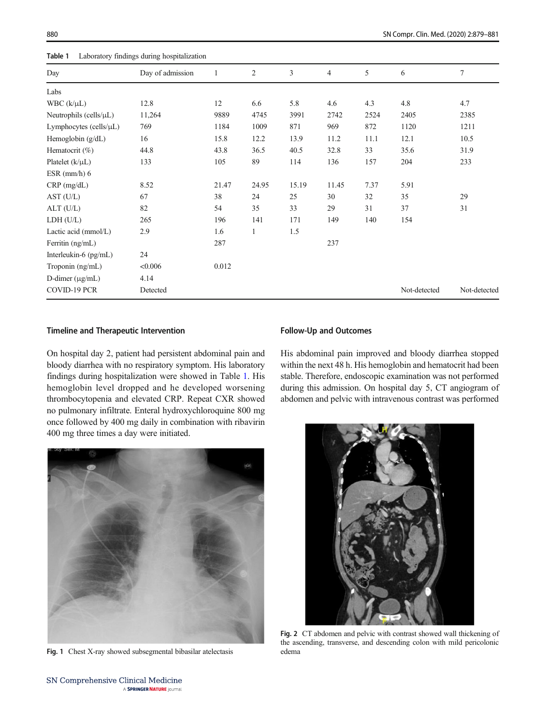<span id="page-1-0"></span>880 SN Compr. Clin. Med. (2020) 2:879–881

| Laboratory findings during hospitalization<br>Table 1 |                  |       |                |       |                |      |              |              |
|-------------------------------------------------------|------------------|-------|----------------|-------|----------------|------|--------------|--------------|
| Day                                                   | Day of admission |       | $\overline{c}$ | 3     | $\overline{4}$ | 5    | 6            | 7            |
| Labs                                                  |                  |       |                |       |                |      |              |              |
| WBC $(k/\mu L)$                                       | 12.8             | 12    | 6.6            | 5.8   | 4.6            | 4.3  | 4.8          | 4.7          |
| Neutrophils (cells/ $\mu L$ )                         | 11,264           | 9889  | 4745           | 3991  | 2742           | 2524 | 2405         | 2385         |
| Lymphocytes (cells/µL)                                | 769              | 1184  | 1009           | 871   | 969            | 872  | 1120         | 1211         |
| Hemoglobin $(g/dL)$                                   | 16               | 15.8  | 12.2           | 13.9  | 11.2           | 11.1 | 12.1         | 10.5         |
| Hematocrit $(\%)$                                     | 44.8             | 43.8  | 36.5           | 40.5  | 32.8           | 33   | 35.6         | 31.9         |
| Platelet $(k/\mu L)$                                  | 133              | 105   | 89             | 114   | 136            | 157  | 204          | 233          |
| $ESR$ (mm/h) $6$                                      |                  |       |                |       |                |      |              |              |
| $CRP$ (mg/dL)                                         | 8.52             | 21.47 | 24.95          | 15.19 | 11.45          | 7.37 | 5.91         |              |
| AST (U/L)                                             | 67               | 38    | 24             | 25    | 30             | 32   | 35           | 29           |
| $ALT$ (U/L)                                           | 82               | 54    | 35             | 33    | 29             | 31   | 37           | 31           |
| LDH (U/L)                                             | 265              | 196   | 141            | 171   | 149            | 140  | 154          |              |
| Lactic acid $(mmol/L)$                                | 2.9              | 1.6   | $\mathbf{1}$   | 1.5   |                |      |              |              |
| Ferritin $(ng/mL)$                                    |                  | 287   |                |       | 237            |      |              |              |
| Interleukin-6 $(pg/mL)$                               | 24               |       |                |       |                |      |              |              |
| Troponin (ng/mL)                                      | < 0.006          | 0.012 |                |       |                |      |              |              |
| D-dimer $(\mu g/mL)$                                  | 4.14             |       |                |       |                |      |              |              |
| COVID-19 PCR                                          | Detected         |       |                |       |                |      | Not-detected | Not-detected |

# Timeline and Therapeutic Intervention

On hospital day 2, patient had persistent abdominal pain and bloody diarrhea with no respiratory symptom. His laboratory findings during hospitalization were showed in Table 1. His hemoglobin level dropped and he developed worsening thrombocytopenia and elevated CRP. Repeat CXR showed no pulmonary infiltrate. Enteral hydroxychloroquine 800 mg once followed by 400 mg daily in combination with ribavirin 400 mg three times a day were initiated.



Fig. 1 Chest X-ray showed subsegmental bibasilar atelectasis edema

#### Follow-Up and Outcomes

His abdominal pain improved and bloody diarrhea stopped within the next 48 h. His hemoglobin and hematocrit had been stable. Therefore, endoscopic examination was not performed during this admission. On hospital day 5, CT angiogram of abdomen and pelvic with intravenous contrast was performed



Fig. 2 CT abdomen and pelvic with contrast showed wall thickening of the ascending, transverse, and descending colon with mild pericolonic